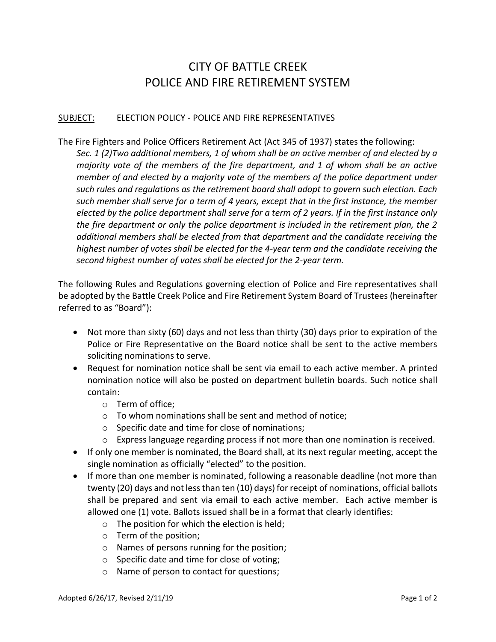## CITY OF BATTLE CREEK POLICE AND FIRE RETIREMENT SYSTEM

## SUBJECT: ELECTION POLICY - POLICE AND FIRE REPRESENTATIVES

## The Fire Fighters and Police Officers Retirement Act (Act 345 of 1937) states the following:

*Sec. 1 (2)Two additional members, 1 of whom shall be an active member of and elected by a majority vote of the members of the fire department, and 1 of whom shall be an active member of and elected by a majority vote of the members of the police department under such rules and regulations as the retirement board shall adopt to govern such election. Each such member shall serve for a term of 4 years, except that in the first instance, the member elected by the police department shall serve for a term of 2 years. If in the first instance only the fire department or only the police department is included in the retirement plan, the 2 additional members shall be elected from that department and the candidate receiving the highest number of votes shall be elected for the 4-year term and the candidate receiving the second highest number of votes shall be elected for the 2-year term.*

The following Rules and Regulations governing election of Police and Fire representatives shall be adopted by the Battle Creek Police and Fire Retirement System Board of Trustees (hereinafter referred to as "Board"):

- Not more than sixty (60) days and not less than thirty (30) days prior to expiration of the Police or Fire Representative on the Board notice shall be sent to the active members soliciting nominations to serve.
- Request for nomination notice shall be sent via email to each active member. A printed nomination notice will also be posted on department bulletin boards. Such notice shall contain:
	- o Term of office;
	- o To whom nominations shall be sent and method of notice;
	- o Specific date and time for close of nominations;
	- $\circ$  Express language regarding process if not more than one nomination is received.
- If only one member is nominated, the Board shall, at its next regular meeting, accept the single nomination as officially "elected" to the position.
- If more than one member is nominated, following a reasonable deadline (not more than twenty (20) days and not less than ten (10) days) for receipt of nominations, official ballots shall be prepared and sent via email to each active member. Each active member is allowed one (1) vote. Ballots issued shall be in a format that clearly identifies:
	- $\circ$  The position for which the election is held;
	- o Term of the position;
	- o Names of persons running for the position;
	- o Specific date and time for close of voting;
	- o Name of person to contact for questions;